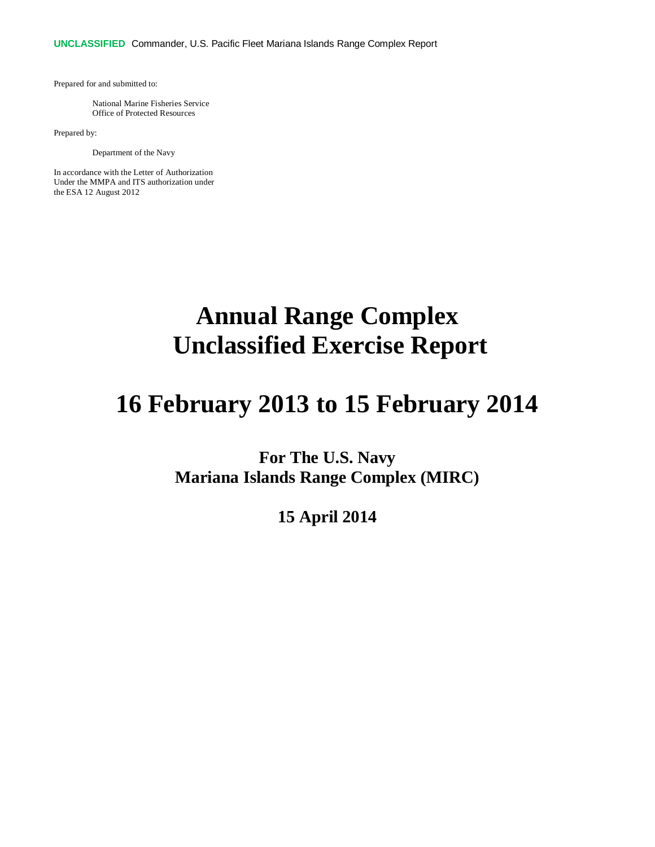**UNCLASSIFIED** Commander, U.S. Pacific Fleet Mariana Islands Range Complex Report

Prepared for and submitted to:

National Marine Fisheries Service Office of Protected Resources

Prepared by:

Department of the Navy

In accordance with the Letter of Authorization Under the MMPA and ITS authorization under the ESA 12 August 2012

# **Annual Range Complex Unclassified Exercise Report**

# **16 February 2013 to 15 February 2014**

**For The U.S. Navy Mariana Islands Range Complex (MIRC)**

**15 April 2014**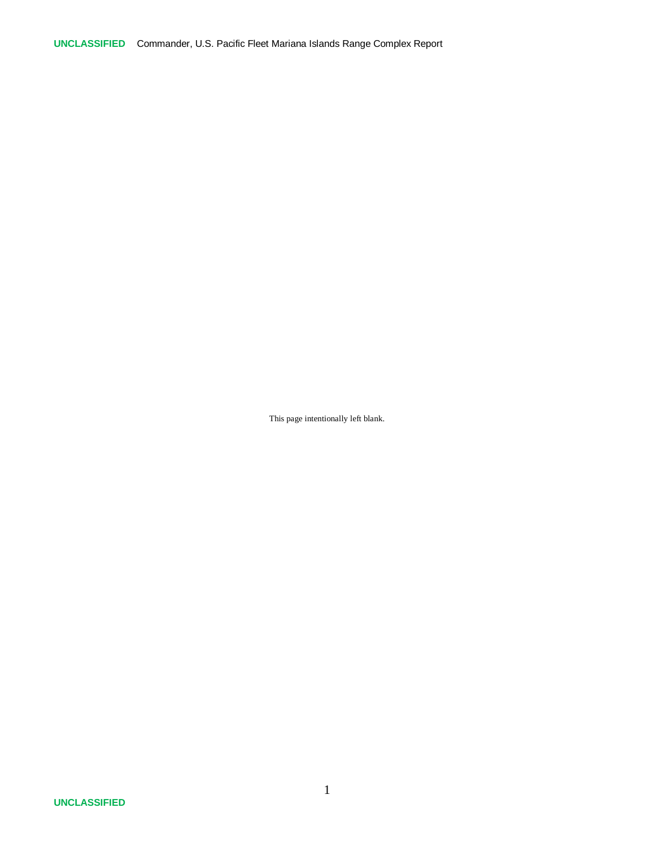This page intentionally left blank.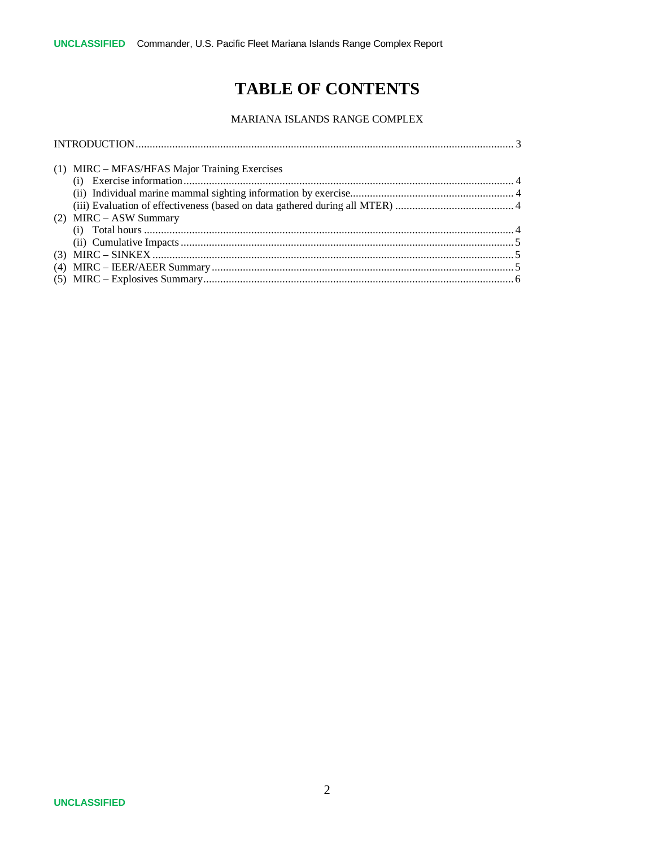## **TABLE OF CONTENTS**

### MARIANA ISLANDS RANGE COMPLEX

| (1) MIRC – MFAS/HFAS Major Training Exercises |  |
|-----------------------------------------------|--|
|                                               |  |
|                                               |  |
|                                               |  |
| $(2)$ MIRC – ASW Summary                      |  |
|                                               |  |
|                                               |  |
|                                               |  |
|                                               |  |
|                                               |  |
|                                               |  |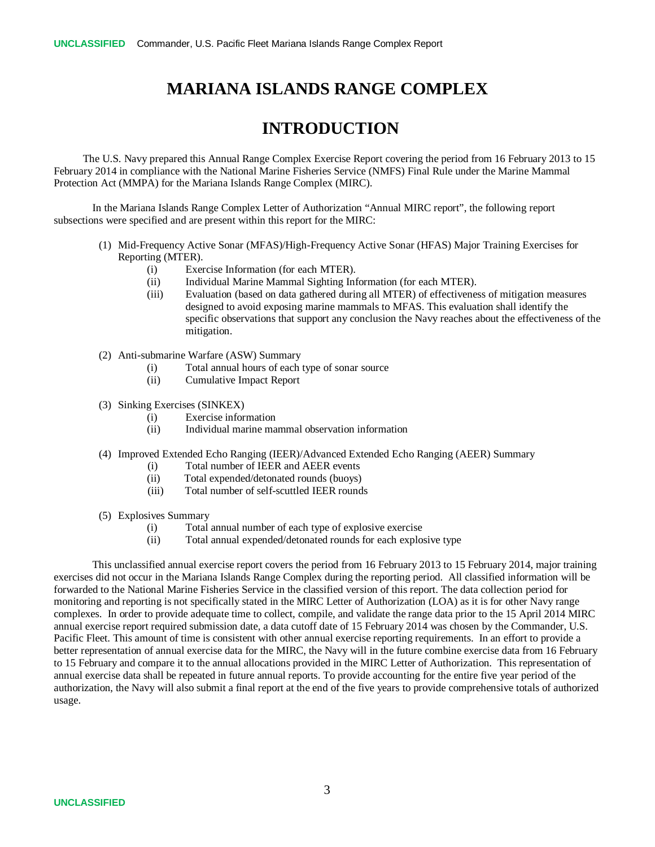## **MARIANA ISLANDS RANGE COMPLEX**

## **INTRODUCTION**

The U.S. Navy prepared this Annual Range Complex Exercise Report covering the period from 16 February 2013 to 15 February 2014 in compliance with the National Marine Fisheries Service (NMFS) Final Rule under the Marine Mammal Protection Act (MMPA) for the Mariana Islands Range Complex (MIRC).

In the Mariana Islands Range Complex Letter of Authorization "Annual MIRC report", the following report subsections were specified and are present within this report for the MIRC:

- (1) Mid-Frequency Active Sonar (MFAS)/High-Frequency Active Sonar (HFAS) Major Training Exercises for Reporting (MTER).
	- (i) Exercise Information (for each MTER).
	- (ii) Individual Marine Mammal Sighting Information (for each MTER).
	- (iii) Evaluation (based on data gathered during all MTER) of effectiveness of mitigation measures designed to avoid exposing marine mammals to MFAS. This evaluation shall identify the specific observations that support any conclusion the Navy reaches about the effectiveness of the mitigation.
- (2) Anti-submarine Warfare (ASW) Summary
	- (i) Total annual hours of each type of sonar source
	- (ii) Cumulative Impact Report
- (3) Sinking Exercises (SINKEX)
	- (i) Exercise information
	- (ii) Individual marine mammal observation information
- (4) Improved Extended Echo Ranging (IEER)/Advanced Extended Echo Ranging (AEER) Summary
	- (i) Total number of IEER and AEER events
	- (ii) Total expended/detonated rounds (buoys)
	- (iii) Total number of self-scuttled IEER rounds
- (5) Explosives Summary
	- (i) Total annual number of each type of explosive exercise
	- (ii) Total annual expended/detonated rounds for each explosive type

 This unclassified annual exercise report covers the period from 16 February 2013 to 15 February 2014, major training exercises did not occur in the Mariana Islands Range Complex during the reporting period. All classified information will be forwarded to the National Marine Fisheries Service in the classified version of this report. The data collection period for monitoring and reporting is not specifically stated in the MIRC Letter of Authorization (LOA) as it is for other Navy range complexes. In order to provide adequate time to collect, compile, and validate the range data prior to the 15 April 2014 MIRC annual exercise report required submission date, a data cutoff date of 15 February 2014 was chosen by the Commander, U.S. Pacific Fleet. This amount of time is consistent with other annual exercise reporting requirements. In an effort to provide a better representation of annual exercise data for the MIRC, the Navy will in the future combine exercise data from 16 February to 15 February and compare it to the annual allocations provided in the MIRC Letter of Authorization. This representation of annual exercise data shall be repeated in future annual reports. To provide accounting for the entire five year period of the authorization, the Navy will also submit a final report at the end of the five years to provide comprehensive totals of authorized usage.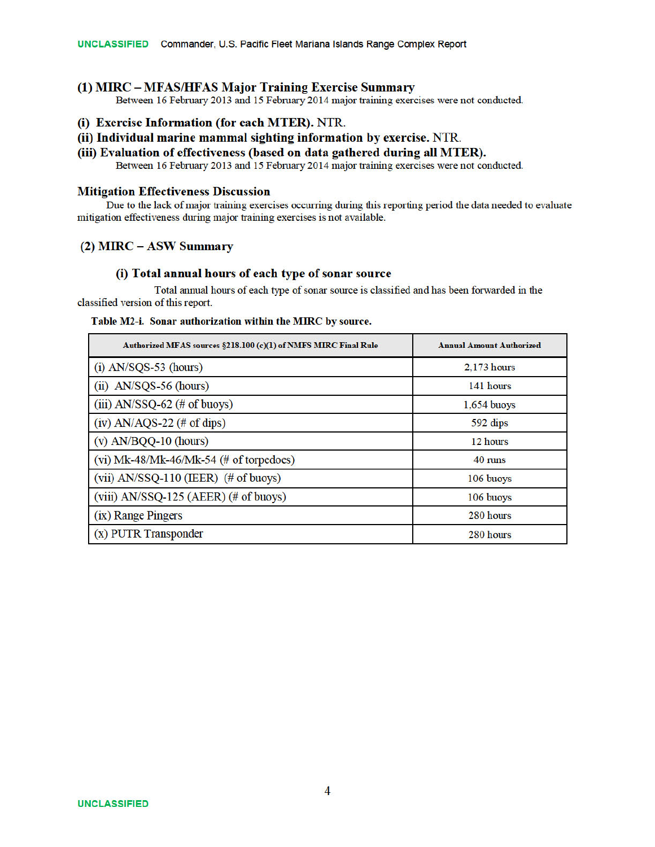#### (1) MIRC - MFAS/HFAS Major Training Exercise Summary

Between 16 February 2013 and 15 February 2014 major training exercises were not conducted.

#### (i) Exercise Information (for each MTER). NTR.

(ii) Individual marine mammal sighting information by exercise. NTR.

#### (iii) Evaluation of effectiveness (based on data gathered during all MTER).

Between 16 February 2013 and 15 February 2014 major training exercises were not conducted.

#### **Mitigation Effectiveness Discussion**

Due to the lack of major training exercises occurring during this reporting period the data needed to evaluate mitigation effectiveness during major training exercises is not available.

#### (2) MIRC - ASW Summary

#### (i) Total annual hours of each type of sonar source

Total annual hours of each type of sonar source is classified and has been forwarded in the classified version of this report.

#### Table M2-i. Sonar authorization within the MIRC by source.

| Authorized MFAS sources §218.100 (c)(1) of NMFS MIRC Final Rule | <b>Annual Amount Authorized</b> |
|-----------------------------------------------------------------|---------------------------------|
| $(i)$ AN/SQS-53 (hours)                                         | 2,173 hours                     |
| $(ii)$ AN/SQS-56 (hours)                                        | 141 hours                       |
| $(iii)$ AN/SSQ-62 (# of buoys)                                  | 1,654 buoys                     |
| $(iv)$ AN/AQS-22 (# of dips)                                    | $592$ dips                      |
| $(v)$ AN/BQQ-10 (hours)                                         | 12 hours                        |
| (vi) Mk-48/Mk-46/Mk-54 (# of torpedoes)                         | $40 \text{ runs}$               |
| (vii) $AN/SSQ-110$ (IEER) (# of buoys)                          | 106 buoys                       |
| (viii) AN/SSQ-125 (AEER) (# of buoys)                           | 106 buoys                       |
| (ix) Range Pingers                                              | 280 hours                       |
| (x) PUTR Transponder                                            | 280 hours                       |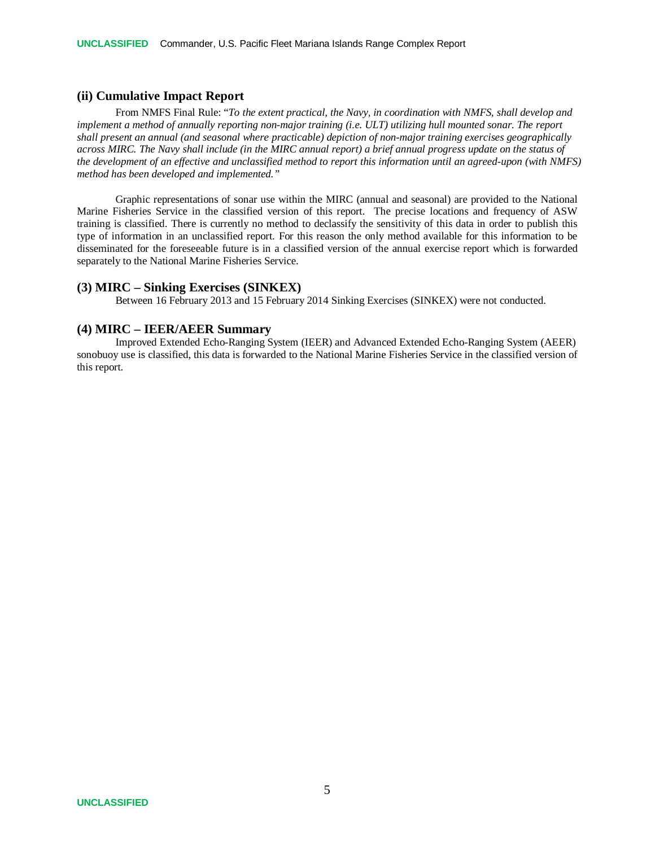#### **(ii) Cumulative Impact Report**

From NMFS Final Rule: "*To the extent practical, the Navy, in coordination with NMFS, shall develop and implement a method of annually reporting non-major training (i.e. ULT) utilizing hull mounted sonar. The report shall present an annual (and seasonal where practicable) depiction of non-major training exercises geographically across MIRC. The Navy shall include (in the MIRC annual report) a brief annual progress update on the status of the development of an effective and unclassified method to report this information until an agreed-upon (with NMFS) method has been developed and implemented."*

 Graphic representations of sonar use within the MIRC (annual and seasonal) are provided to the National Marine Fisheries Service in the classified version of this report. The precise locations and frequency of ASW training is classified. There is currently no method to declassify the sensitivity of this data in order to publish this type of information in an unclassified report. For this reason the only method available for this information to be disseminated for the foreseeable future is in a classified version of the annual exercise report which is forwarded separately to the National Marine Fisheries Service.

#### **(3) MIRC – Sinking Exercises (SINKEX)**

Between 16 February 2013 and 15 February 2014 Sinking Exercises (SINKEX) were not conducted.

#### **(4) MIRC – IEER/AEER Summary**

 Improved Extended Echo-Ranging System (IEER) and Advanced Extended Echo-Ranging System (AEER) sonobuoy use is classified, this data is forwarded to the National Marine Fisheries Service in the classified version of this report.